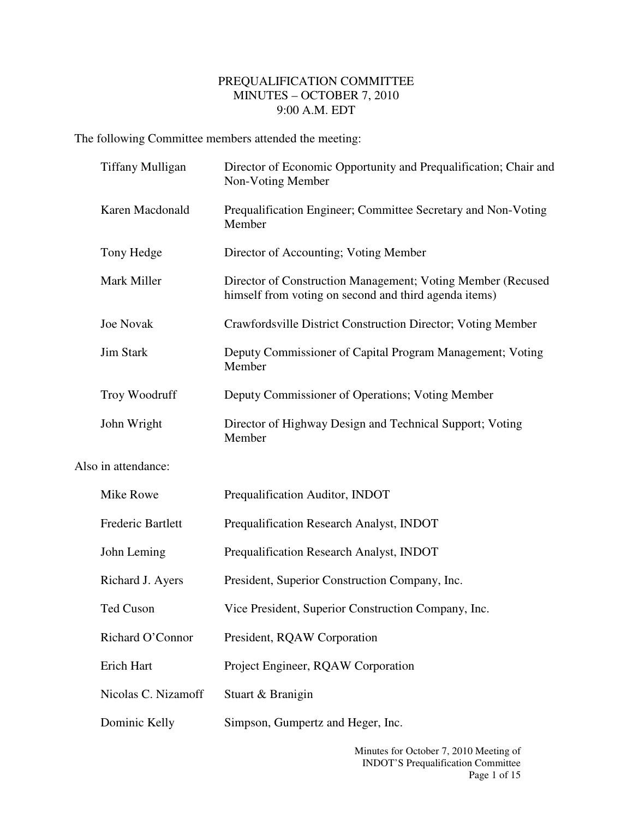## PREQUALIFICATION COMMITTEE MINUTES – OCTOBER 7, 2010 9:00 A.M. EDT

The following Committee members attended the meeting:

|                     | <b>Tiffany Mulligan</b> | Director of Economic Opportunity and Prequalification; Chair and<br>Non-Voting Member                                |
|---------------------|-------------------------|----------------------------------------------------------------------------------------------------------------------|
|                     | Karen Macdonald         | Prequalification Engineer; Committee Secretary and Non-Voting<br>Member                                              |
|                     | Tony Hedge              | Director of Accounting; Voting Member                                                                                |
|                     | Mark Miller             | Director of Construction Management; Voting Member (Recused<br>himself from voting on second and third agenda items) |
|                     | <b>Joe Novak</b>        | Crawfordsville District Construction Director; Voting Member                                                         |
|                     | <b>Jim Stark</b>        | Deputy Commissioner of Capital Program Management; Voting<br>Member                                                  |
|                     | Troy Woodruff           | Deputy Commissioner of Operations; Voting Member                                                                     |
|                     | John Wright             | Director of Highway Design and Technical Support; Voting<br>Member                                                   |
| Also in attendance: |                         |                                                                                                                      |
|                     | Mike Rowe               | Prequalification Auditor, INDOT                                                                                      |
|                     | Frederic Bartlett       | Prequalification Research Analyst, INDOT                                                                             |
|                     | John Leming             | Prequalification Research Analyst, INDOT                                                                             |
|                     | Richard J. Ayers        | President, Superior Construction Company, Inc.                                                                       |
|                     | <b>Ted Cuson</b>        | Vice President, Superior Construction Company, Inc.                                                                  |
|                     | Richard O'Connor        | President, RQAW Corporation                                                                                          |
|                     | Erich Hart              | Project Engineer, RQAW Corporation                                                                                   |
|                     | Nicolas C. Nizamoff     | Stuart & Branigin                                                                                                    |
|                     | Dominic Kelly           | Simpson, Gumpertz and Heger, Inc.                                                                                    |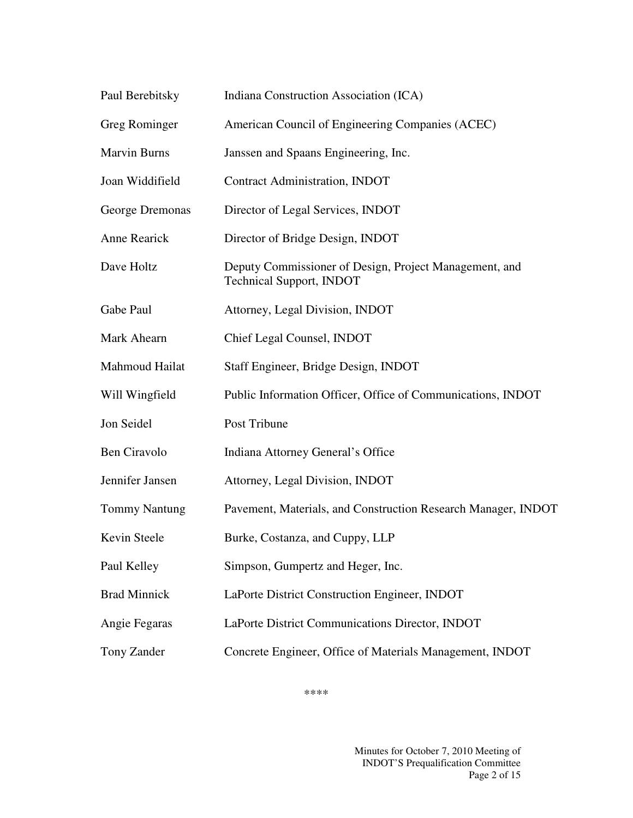| Paul Berebitsky      | Indiana Construction Association (ICA)                                                    |
|----------------------|-------------------------------------------------------------------------------------------|
| Greg Rominger        | American Council of Engineering Companies (ACEC)                                          |
| <b>Marvin Burns</b>  | Janssen and Spaans Engineering, Inc.                                                      |
| Joan Widdifield      | <b>Contract Administration, INDOT</b>                                                     |
| George Dremonas      | Director of Legal Services, INDOT                                                         |
| Anne Rearick         | Director of Bridge Design, INDOT                                                          |
| Dave Holtz           | Deputy Commissioner of Design, Project Management, and<br><b>Technical Support, INDOT</b> |
| Gabe Paul            | Attorney, Legal Division, INDOT                                                           |
| Mark Ahearn          | Chief Legal Counsel, INDOT                                                                |
| Mahmoud Hailat       | Staff Engineer, Bridge Design, INDOT                                                      |
| Will Wingfield       | Public Information Officer, Office of Communications, INDOT                               |
| Jon Seidel           | Post Tribune                                                                              |
| Ben Ciravolo         | Indiana Attorney General's Office                                                         |
| Jennifer Jansen      | Attorney, Legal Division, INDOT                                                           |
| <b>Tommy Nantung</b> | Pavement, Materials, and Construction Research Manager, INDOT                             |
| Kevin Steele         | Burke, Costanza, and Cuppy, LLP                                                           |
| Paul Kelley          | Simpson, Gumpertz and Heger, Inc.                                                         |
| <b>Brad Minnick</b>  | LaPorte District Construction Engineer, INDOT                                             |
| Angie Fegaras        | LaPorte District Communications Director, INDOT                                           |
| Tony Zander          | Concrete Engineer, Office of Materials Management, INDOT                                  |

\*\*\*\*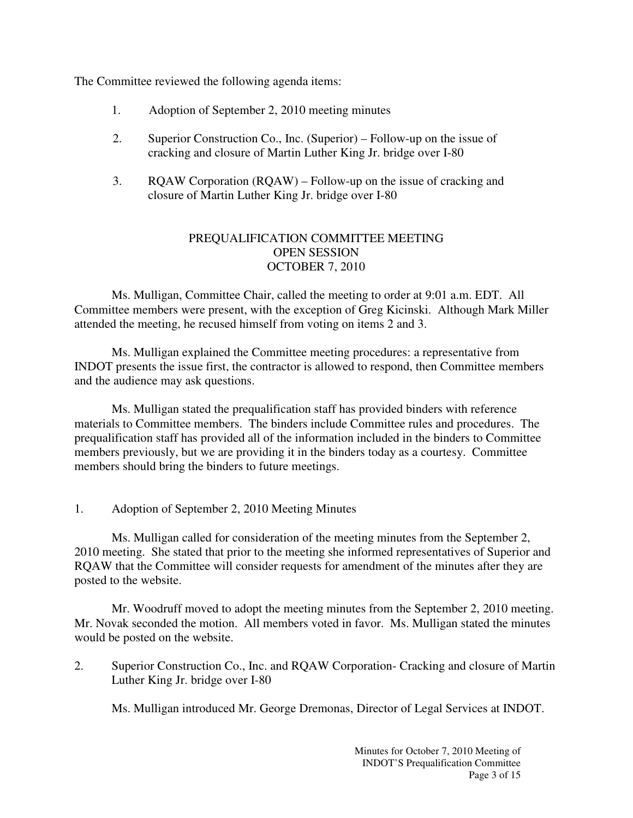The Committee reviewed the following agenda items:

- 1. Adoption of September 2, 2010 meeting minutes
- 2. Superior Construction Co., Inc. (Superior) Follow-up on the issue of cracking and closure of Martin Luther King Jr. bridge over I-80
- 3. RQAW Corporation (RQAW) Follow-up on the issue of cracking and closure of Martin Luther King Jr. bridge over I-80

## PREQUALIFICATION COMMITTEE MEETING OPEN SESSION OCTOBER 7, 2010

 Ms. Mulligan, Committee Chair, called the meeting to order at 9:01 a.m. EDT. All Committee members were present, with the exception of Greg Kicinski. Although Mark Miller attended the meeting, he recused himself from voting on items 2 and 3.

 Ms. Mulligan explained the Committee meeting procedures: a representative from INDOT presents the issue first, the contractor is allowed to respond, then Committee members and the audience may ask questions.

Ms. Mulligan stated the prequalification staff has provided binders with reference materials to Committee members. The binders include Committee rules and procedures. The prequalification staff has provided all of the information included in the binders to Committee members previously, but we are providing it in the binders today as a courtesy. Committee members should bring the binders to future meetings.

1. Adoption of September 2, 2010 Meeting Minutes

 Ms. Mulligan called for consideration of the meeting minutes from the September 2, 2010 meeting. She stated that prior to the meeting she informed representatives of Superior and RQAW that the Committee will consider requests for amendment of the minutes after they are posted to the website.

 Mr. Woodruff moved to adopt the meeting minutes from the September 2, 2010 meeting. Mr. Novak seconded the motion. All members voted in favor. Ms. Mulligan stated the minutes would be posted on the website.

2. Superior Construction Co., Inc. and RQAW Corporation- Cracking and closure of Martin Luther King Jr. bridge over I-80

Ms. Mulligan introduced Mr. George Dremonas, Director of Legal Services at INDOT.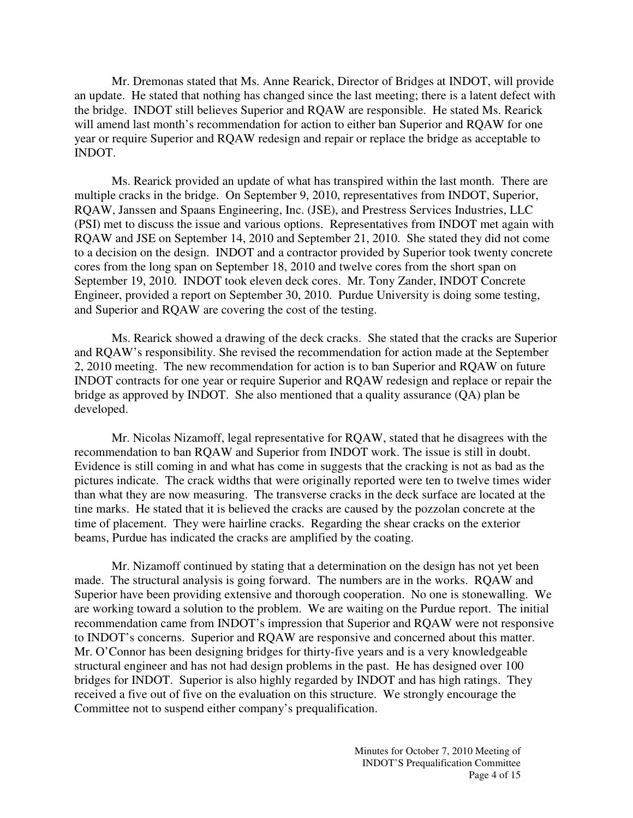Mr. Dremonas stated that Ms. Anne Rearick, Director of Bridges at INDOT, will provide an update. He stated that nothing has changed since the last meeting; there is a latent defect with the bridge. INDOT still believes Superior and RQAW are responsible. He stated Ms. Rearick will amend last month's recommendation for action to either ban Superior and RQAW for one year or require Superior and RQAW redesign and repair or replace the bridge as acceptable to INDOT.

Ms. Rearick provided an update of what has transpired within the last month. There are multiple cracks in the bridge. On September 9, 2010, representatives from INDOT, Superior, RQAW, Janssen and Spaans Engineering, Inc. (JSE), and Prestress Services Industries, LLC (PSI) met to discuss the issue and various options. Representatives from INDOT met again with RQAW and JSE on September 14, 2010 and September 21, 2010. She stated they did not come to a decision on the design. INDOT and a contractor provided by Superior took twenty concrete cores from the long span on September 18, 2010 and twelve cores from the short span on September 19, 2010. INDOT took eleven deck cores. Mr. Tony Zander, INDOT Concrete Engineer, provided a report on September 30, 2010. Purdue University is doing some testing, and Superior and RQAW are covering the cost of the testing.

Ms. Rearick showed a drawing of the deck cracks. She stated that the cracks are Superior and RQAW's responsibility. She revised the recommendation for action made at the September 2, 2010 meeting. The new recommendation for action is to ban Superior and RQAW on future INDOT contracts for one year or require Superior and RQAW redesign and replace or repair the bridge as approved by INDOT. She also mentioned that a quality assurance (QA) plan be developed.

Mr. Nicolas Nizamoff, legal representative for RQAW, stated that he disagrees with the recommendation to ban RQAW and Superior from INDOT work. The issue is still in doubt. Evidence is still coming in and what has come in suggests that the cracking is not as bad as the pictures indicate. The crack widths that were originally reported were ten to twelve times wider than what they are now measuring. The transverse cracks in the deck surface are located at the tine marks. He stated that it is believed the cracks are caused by the pozzolan concrete at the time of placement. They were hairline cracks. Regarding the shear cracks on the exterior beams, Purdue has indicated the cracks are amplified by the coating.

Mr. Nizamoff continued by stating that a determination on the design has not yet been made. The structural analysis is going forward. The numbers are in the works. RQAW and Superior have been providing extensive and thorough cooperation. No one is stonewalling. We are working toward a solution to the problem. We are waiting on the Purdue report. The initial recommendation came from INDOT's impression that Superior and RQAW were not responsive to INDOT's concerns. Superior and RQAW are responsive and concerned about this matter. Mr. O'Connor has been designing bridges for thirty-five years and is a very knowledgeable structural engineer and has not had design problems in the past. He has designed over 100 bridges for INDOT. Superior is also highly regarded by INDOT and has high ratings. They received a five out of five on the evaluation on this structure. We strongly encourage the Committee not to suspend either company's prequalification.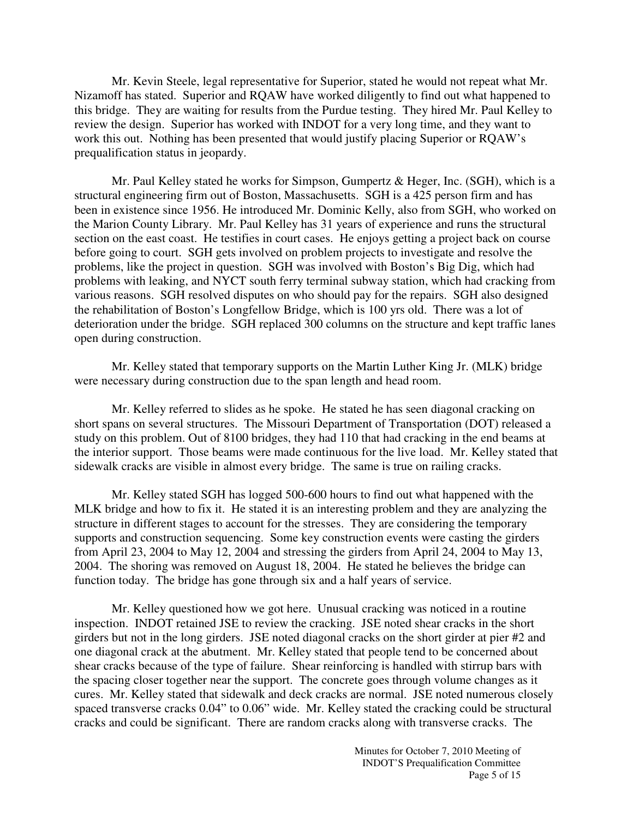Mr. Kevin Steele, legal representative for Superior, stated he would not repeat what Mr. Nizamoff has stated. Superior and RQAW have worked diligently to find out what happened to this bridge. They are waiting for results from the Purdue testing. They hired Mr. Paul Kelley to review the design. Superior has worked with INDOT for a very long time, and they want to work this out. Nothing has been presented that would justify placing Superior or RQAW's prequalification status in jeopardy.

Mr. Paul Kelley stated he works for Simpson, Gumpertz & Heger, Inc. (SGH), which is a structural engineering firm out of Boston, Massachusetts. SGH is a 425 person firm and has been in existence since 1956. He introduced Mr. Dominic Kelly, also from SGH, who worked on the Marion County Library. Mr. Paul Kelley has 31 years of experience and runs the structural section on the east coast. He testifies in court cases. He enjoys getting a project back on course before going to court. SGH gets involved on problem projects to investigate and resolve the problems, like the project in question. SGH was involved with Boston's Big Dig, which had problems with leaking, and NYCT south ferry terminal subway station, which had cracking from various reasons. SGH resolved disputes on who should pay for the repairs. SGH also designed the rehabilitation of Boston's Longfellow Bridge, which is 100 yrs old. There was a lot of deterioration under the bridge. SGH replaced 300 columns on the structure and kept traffic lanes open during construction.

Mr. Kelley stated that temporary supports on the Martin Luther King Jr. (MLK) bridge were necessary during construction due to the span length and head room.

Mr. Kelley referred to slides as he spoke. He stated he has seen diagonal cracking on short spans on several structures. The Missouri Department of Transportation (DOT) released a study on this problem. Out of 8100 bridges, they had 110 that had cracking in the end beams at the interior support. Those beams were made continuous for the live load. Mr. Kelley stated that sidewalk cracks are visible in almost every bridge. The same is true on railing cracks.

Mr. Kelley stated SGH has logged 500-600 hours to find out what happened with the MLK bridge and how to fix it. He stated it is an interesting problem and they are analyzing the structure in different stages to account for the stresses. They are considering the temporary supports and construction sequencing. Some key construction events were casting the girders from April 23, 2004 to May 12, 2004 and stressing the girders from April 24, 2004 to May 13, 2004. The shoring was removed on August 18, 2004. He stated he believes the bridge can function today. The bridge has gone through six and a half years of service.

Mr. Kelley questioned how we got here. Unusual cracking was noticed in a routine inspection. INDOT retained JSE to review the cracking. JSE noted shear cracks in the short girders but not in the long girders. JSE noted diagonal cracks on the short girder at pier #2 and one diagonal crack at the abutment. Mr. Kelley stated that people tend to be concerned about shear cracks because of the type of failure. Shear reinforcing is handled with stirrup bars with the spacing closer together near the support. The concrete goes through volume changes as it cures. Mr. Kelley stated that sidewalk and deck cracks are normal. JSE noted numerous closely spaced transverse cracks 0.04" to 0.06" wide. Mr. Kelley stated the cracking could be structural cracks and could be significant. There are random cracks along with transverse cracks. The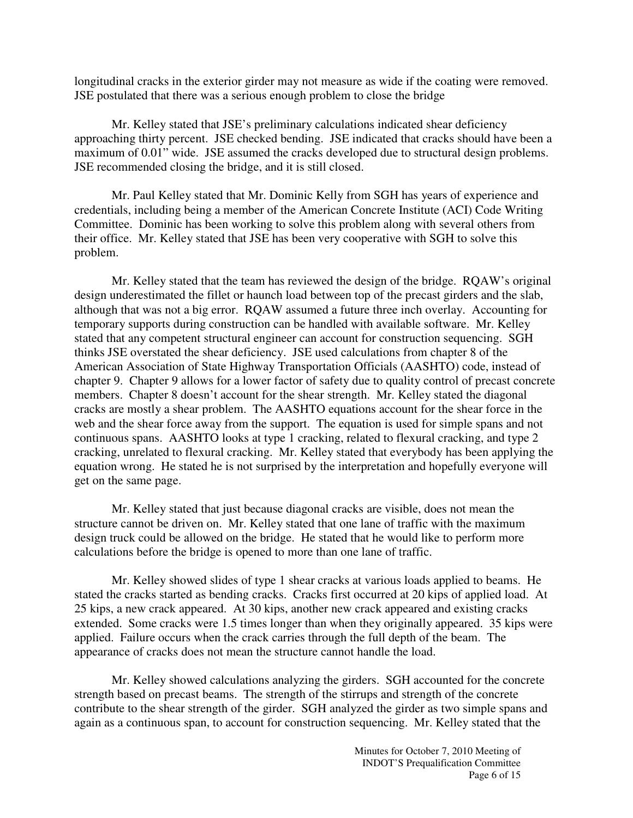longitudinal cracks in the exterior girder may not measure as wide if the coating were removed. JSE postulated that there was a serious enough problem to close the bridge

Mr. Kelley stated that JSE's preliminary calculations indicated shear deficiency approaching thirty percent. JSE checked bending. JSE indicated that cracks should have been a maximum of 0.01" wide. JSE assumed the cracks developed due to structural design problems. JSE recommended closing the bridge, and it is still closed.

Mr. Paul Kelley stated that Mr. Dominic Kelly from SGH has years of experience and credentials, including being a member of the American Concrete Institute (ACI) Code Writing Committee. Dominic has been working to solve this problem along with several others from their office. Mr. Kelley stated that JSE has been very cooperative with SGH to solve this problem.

Mr. Kelley stated that the team has reviewed the design of the bridge. RQAW's original design underestimated the fillet or haunch load between top of the precast girders and the slab, although that was not a big error. RQAW assumed a future three inch overlay. Accounting for temporary supports during construction can be handled with available software. Mr. Kelley stated that any competent structural engineer can account for construction sequencing. SGH thinks JSE overstated the shear deficiency. JSE used calculations from chapter 8 of the American Association of State Highway Transportation Officials (AASHTO) code, instead of chapter 9. Chapter 9 allows for a lower factor of safety due to quality control of precast concrete members. Chapter 8 doesn't account for the shear strength. Mr. Kelley stated the diagonal cracks are mostly a shear problem. The AASHTO equations account for the shear force in the web and the shear force away from the support. The equation is used for simple spans and not continuous spans. AASHTO looks at type 1 cracking, related to flexural cracking, and type 2 cracking, unrelated to flexural cracking. Mr. Kelley stated that everybody has been applying the equation wrong. He stated he is not surprised by the interpretation and hopefully everyone will get on the same page.

Mr. Kelley stated that just because diagonal cracks are visible, does not mean the structure cannot be driven on. Mr. Kelley stated that one lane of traffic with the maximum design truck could be allowed on the bridge. He stated that he would like to perform more calculations before the bridge is opened to more than one lane of traffic.

Mr. Kelley showed slides of type 1 shear cracks at various loads applied to beams. He stated the cracks started as bending cracks. Cracks first occurred at 20 kips of applied load. At 25 kips, a new crack appeared. At 30 kips, another new crack appeared and existing cracks extended. Some cracks were 1.5 times longer than when they originally appeared. 35 kips were applied. Failure occurs when the crack carries through the full depth of the beam. The appearance of cracks does not mean the structure cannot handle the load.

Mr. Kelley showed calculations analyzing the girders. SGH accounted for the concrete strength based on precast beams. The strength of the stirrups and strength of the concrete contribute to the shear strength of the girder. SGH analyzed the girder as two simple spans and again as a continuous span, to account for construction sequencing. Mr. Kelley stated that the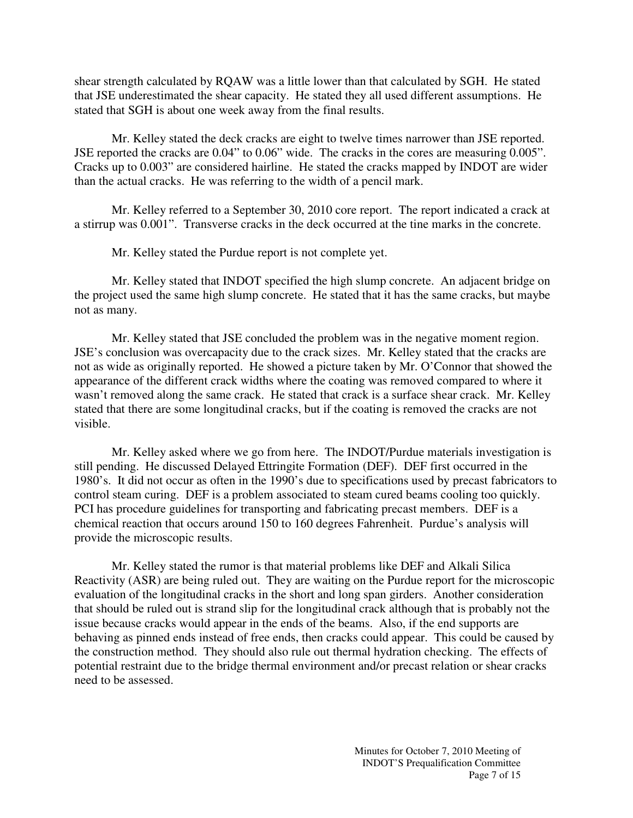shear strength calculated by RQAW was a little lower than that calculated by SGH. He stated that JSE underestimated the shear capacity. He stated they all used different assumptions. He stated that SGH is about one week away from the final results.

Mr. Kelley stated the deck cracks are eight to twelve times narrower than JSE reported. JSE reported the cracks are 0.04" to 0.06" wide. The cracks in the cores are measuring 0.005". Cracks up to 0.003" are considered hairline. He stated the cracks mapped by INDOT are wider than the actual cracks. He was referring to the width of a pencil mark.

Mr. Kelley referred to a September 30, 2010 core report. The report indicated a crack at a stirrup was 0.001". Transverse cracks in the deck occurred at the tine marks in the concrete.

Mr. Kelley stated the Purdue report is not complete yet.

Mr. Kelley stated that INDOT specified the high slump concrete. An adjacent bridge on the project used the same high slump concrete. He stated that it has the same cracks, but maybe not as many.

Mr. Kelley stated that JSE concluded the problem was in the negative moment region. JSE's conclusion was overcapacity due to the crack sizes. Mr. Kelley stated that the cracks are not as wide as originally reported. He showed a picture taken by Mr. O'Connor that showed the appearance of the different crack widths where the coating was removed compared to where it wasn't removed along the same crack. He stated that crack is a surface shear crack. Mr. Kelley stated that there are some longitudinal cracks, but if the coating is removed the cracks are not visible.

Mr. Kelley asked where we go from here. The INDOT/Purdue materials investigation is still pending. He discussed Delayed Ettringite Formation (DEF). DEF first occurred in the 1980's. It did not occur as often in the 1990's due to specifications used by precast fabricators to control steam curing. DEF is a problem associated to steam cured beams cooling too quickly. PCI has procedure guidelines for transporting and fabricating precast members. DEF is a chemical reaction that occurs around 150 to 160 degrees Fahrenheit. Purdue's analysis will provide the microscopic results.

Mr. Kelley stated the rumor is that material problems like DEF and Alkali Silica Reactivity (ASR) are being ruled out. They are waiting on the Purdue report for the microscopic evaluation of the longitudinal cracks in the short and long span girders. Another consideration that should be ruled out is strand slip for the longitudinal crack although that is probably not the issue because cracks would appear in the ends of the beams. Also, if the end supports are behaving as pinned ends instead of free ends, then cracks could appear. This could be caused by the construction method. They should also rule out thermal hydration checking. The effects of potential restraint due to the bridge thermal environment and/or precast relation or shear cracks need to be assessed.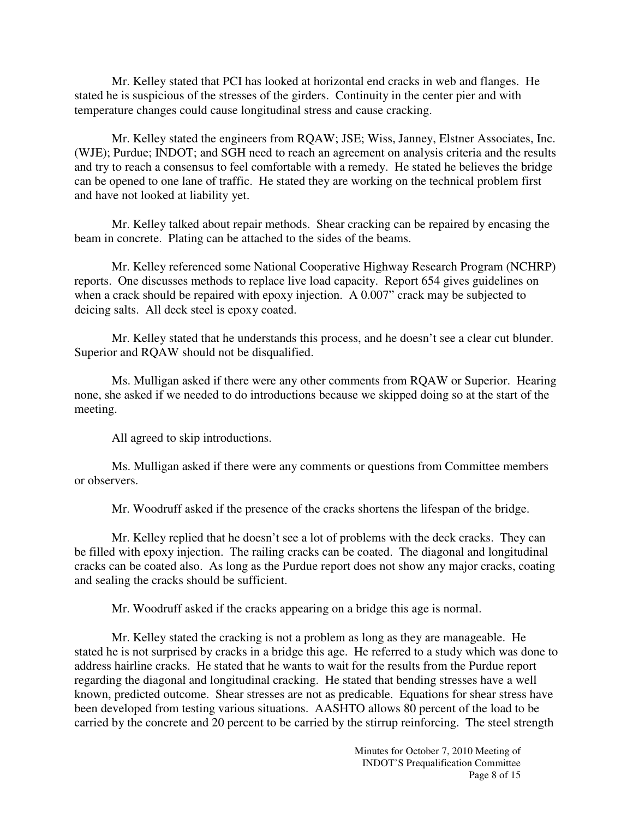Mr. Kelley stated that PCI has looked at horizontal end cracks in web and flanges. He stated he is suspicious of the stresses of the girders. Continuity in the center pier and with temperature changes could cause longitudinal stress and cause cracking.

Mr. Kelley stated the engineers from RQAW; JSE; Wiss, Janney, Elstner Associates, Inc. (WJE); Purdue; INDOT; and SGH need to reach an agreement on analysis criteria and the results and try to reach a consensus to feel comfortable with a remedy. He stated he believes the bridge can be opened to one lane of traffic. He stated they are working on the technical problem first and have not looked at liability yet.

Mr. Kelley talked about repair methods. Shear cracking can be repaired by encasing the beam in concrete. Plating can be attached to the sides of the beams.

Mr. Kelley referenced some National Cooperative Highway Research Program (NCHRP) reports. One discusses methods to replace live load capacity. Report 654 gives guidelines on when a crack should be repaired with epoxy injection. A 0.007" crack may be subjected to deicing salts. All deck steel is epoxy coated.

Mr. Kelley stated that he understands this process, and he doesn't see a clear cut blunder. Superior and RQAW should not be disqualified.

Ms. Mulligan asked if there were any other comments from RQAW or Superior. Hearing none, she asked if we needed to do introductions because we skipped doing so at the start of the meeting.

All agreed to skip introductions.

Ms. Mulligan asked if there were any comments or questions from Committee members or observers.

Mr. Woodruff asked if the presence of the cracks shortens the lifespan of the bridge.

Mr. Kelley replied that he doesn't see a lot of problems with the deck cracks. They can be filled with epoxy injection. The railing cracks can be coated. The diagonal and longitudinal cracks can be coated also. As long as the Purdue report does not show any major cracks, coating and sealing the cracks should be sufficient.

Mr. Woodruff asked if the cracks appearing on a bridge this age is normal.

Mr. Kelley stated the cracking is not a problem as long as they are manageable. He stated he is not surprised by cracks in a bridge this age. He referred to a study which was done to address hairline cracks. He stated that he wants to wait for the results from the Purdue report regarding the diagonal and longitudinal cracking. He stated that bending stresses have a well known, predicted outcome. Shear stresses are not as predicable. Equations for shear stress have been developed from testing various situations. AASHTO allows 80 percent of the load to be carried by the concrete and 20 percent to be carried by the stirrup reinforcing. The steel strength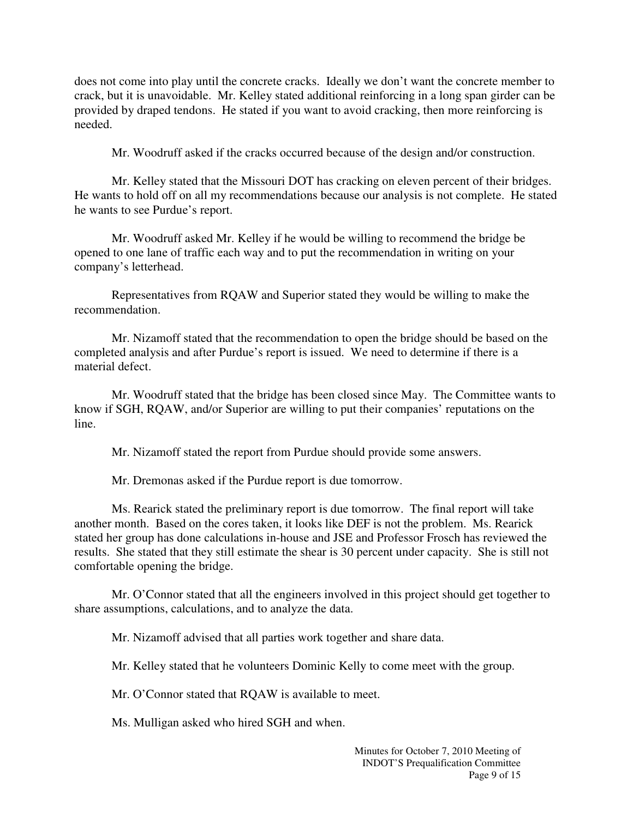does not come into play until the concrete cracks. Ideally we don't want the concrete member to crack, but it is unavoidable. Mr. Kelley stated additional reinforcing in a long span girder can be provided by draped tendons. He stated if you want to avoid cracking, then more reinforcing is needed.

Mr. Woodruff asked if the cracks occurred because of the design and/or construction.

Mr. Kelley stated that the Missouri DOT has cracking on eleven percent of their bridges. He wants to hold off on all my recommendations because our analysis is not complete. He stated he wants to see Purdue's report.

Mr. Woodruff asked Mr. Kelley if he would be willing to recommend the bridge be opened to one lane of traffic each way and to put the recommendation in writing on your company's letterhead.

Representatives from RQAW and Superior stated they would be willing to make the recommendation.

Mr. Nizamoff stated that the recommendation to open the bridge should be based on the completed analysis and after Purdue's report is issued. We need to determine if there is a material defect.

Mr. Woodruff stated that the bridge has been closed since May. The Committee wants to know if SGH, RQAW, and/or Superior are willing to put their companies' reputations on the line.

Mr. Nizamoff stated the report from Purdue should provide some answers.

Mr. Dremonas asked if the Purdue report is due tomorrow.

Ms. Rearick stated the preliminary report is due tomorrow. The final report will take another month. Based on the cores taken, it looks like DEF is not the problem. Ms. Rearick stated her group has done calculations in-house and JSE and Professor Frosch has reviewed the results. She stated that they still estimate the shear is 30 percent under capacity. She is still not comfortable opening the bridge.

Mr. O'Connor stated that all the engineers involved in this project should get together to share assumptions, calculations, and to analyze the data.

Mr. Nizamoff advised that all parties work together and share data.

Mr. Kelley stated that he volunteers Dominic Kelly to come meet with the group.

Mr. O'Connor stated that RQAW is available to meet.

Ms. Mulligan asked who hired SGH and when.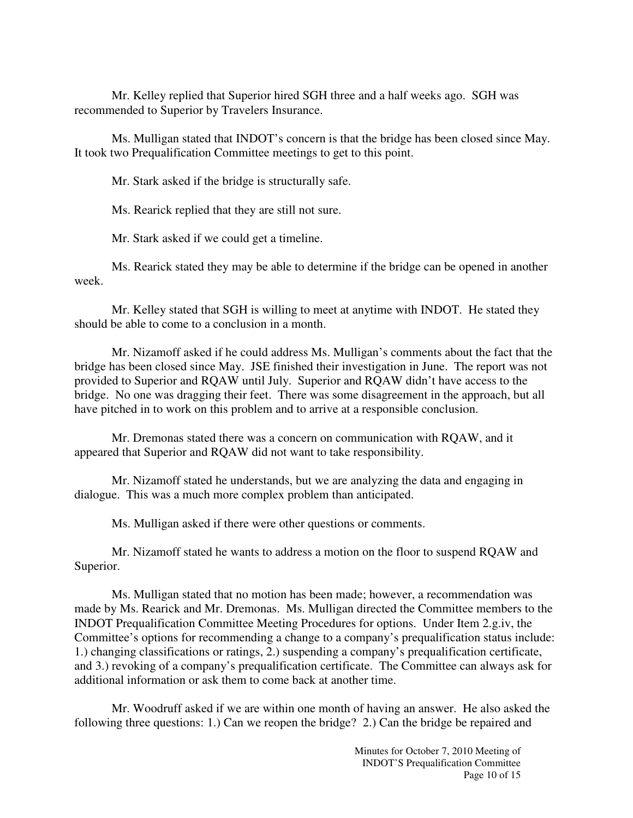Mr. Kelley replied that Superior hired SGH three and a half weeks ago. SGH was recommended to Superior by Travelers Insurance.

Ms. Mulligan stated that INDOT's concern is that the bridge has been closed since May. It took two Prequalification Committee meetings to get to this point.

Mr. Stark asked if the bridge is structurally safe.

Ms. Rearick replied that they are still not sure.

Mr. Stark asked if we could get a timeline.

Ms. Rearick stated they may be able to determine if the bridge can be opened in another week.

Mr. Kelley stated that SGH is willing to meet at anytime with INDOT. He stated they should be able to come to a conclusion in a month.

Mr. Nizamoff asked if he could address Ms. Mulligan's comments about the fact that the bridge has been closed since May. JSE finished their investigation in June. The report was not provided to Superior and RQAW until July. Superior and RQAW didn't have access to the bridge. No one was dragging their feet. There was some disagreement in the approach, but all have pitched in to work on this problem and to arrive at a responsible conclusion.

Mr. Dremonas stated there was a concern on communication with RQAW, and it appeared that Superior and RQAW did not want to take responsibility.

Mr. Nizamoff stated he understands, but we are analyzing the data and engaging in dialogue. This was a much more complex problem than anticipated.

Ms. Mulligan asked if there were other questions or comments.

Mr. Nizamoff stated he wants to address a motion on the floor to suspend RQAW and Superior.

Ms. Mulligan stated that no motion has been made; however, a recommendation was made by Ms. Rearick and Mr. Dremonas. Ms. Mulligan directed the Committee members to the INDOT Prequalification Committee Meeting Procedures for options. Under Item 2.g.iv, the Committee's options for recommending a change to a company's prequalification status include: 1.) changing classifications or ratings, 2.) suspending a company's prequalification certificate, and 3.) revoking of a company's prequalification certificate. The Committee can always ask for additional information or ask them to come back at another time.

Mr. Woodruff asked if we are within one month of having an answer. He also asked the following three questions: 1.) Can we reopen the bridge? 2.) Can the bridge be repaired and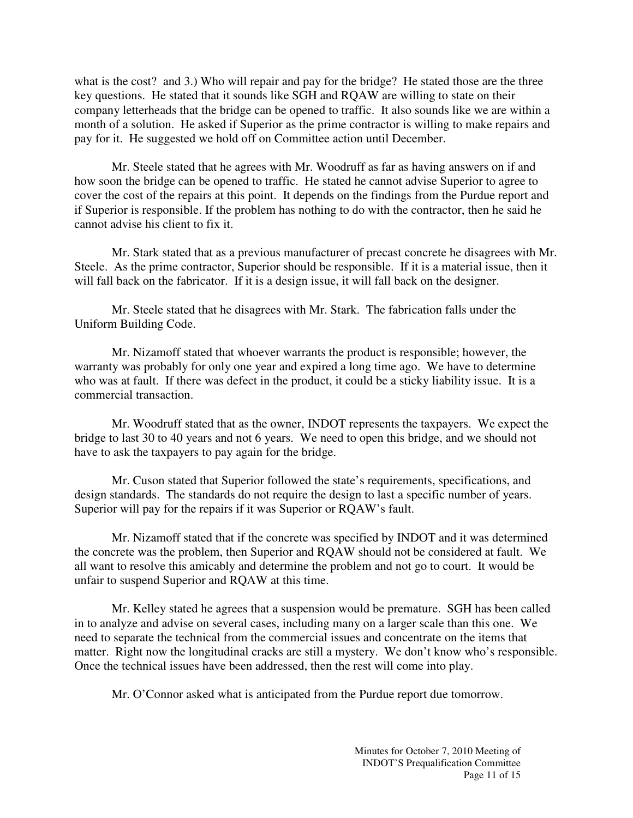what is the cost? and 3.) Who will repair and pay for the bridge? He stated those are the three key questions. He stated that it sounds like SGH and RQAW are willing to state on their company letterheads that the bridge can be opened to traffic. It also sounds like we are within a month of a solution. He asked if Superior as the prime contractor is willing to make repairs and pay for it. He suggested we hold off on Committee action until December.

Mr. Steele stated that he agrees with Mr. Woodruff as far as having answers on if and how soon the bridge can be opened to traffic. He stated he cannot advise Superior to agree to cover the cost of the repairs at this point. It depends on the findings from the Purdue report and if Superior is responsible. If the problem has nothing to do with the contractor, then he said he cannot advise his client to fix it.

Mr. Stark stated that as a previous manufacturer of precast concrete he disagrees with Mr. Steele. As the prime contractor, Superior should be responsible. If it is a material issue, then it will fall back on the fabricator. If it is a design issue, it will fall back on the designer.

Mr. Steele stated that he disagrees with Mr. Stark. The fabrication falls under the Uniform Building Code.

Mr. Nizamoff stated that whoever warrants the product is responsible; however, the warranty was probably for only one year and expired a long time ago. We have to determine who was at fault. If there was defect in the product, it could be a sticky liability issue. It is a commercial transaction.

Mr. Woodruff stated that as the owner, INDOT represents the taxpayers. We expect the bridge to last 30 to 40 years and not 6 years. We need to open this bridge, and we should not have to ask the taxpayers to pay again for the bridge.

Mr. Cuson stated that Superior followed the state's requirements, specifications, and design standards. The standards do not require the design to last a specific number of years. Superior will pay for the repairs if it was Superior or RQAW's fault.

Mr. Nizamoff stated that if the concrete was specified by INDOT and it was determined the concrete was the problem, then Superior and RQAW should not be considered at fault. We all want to resolve this amicably and determine the problem and not go to court. It would be unfair to suspend Superior and RQAW at this time.

Mr. Kelley stated he agrees that a suspension would be premature. SGH has been called in to analyze and advise on several cases, including many on a larger scale than this one. We need to separate the technical from the commercial issues and concentrate on the items that matter. Right now the longitudinal cracks are still a mystery. We don't know who's responsible. Once the technical issues have been addressed, then the rest will come into play.

Mr. O'Connor asked what is anticipated from the Purdue report due tomorrow.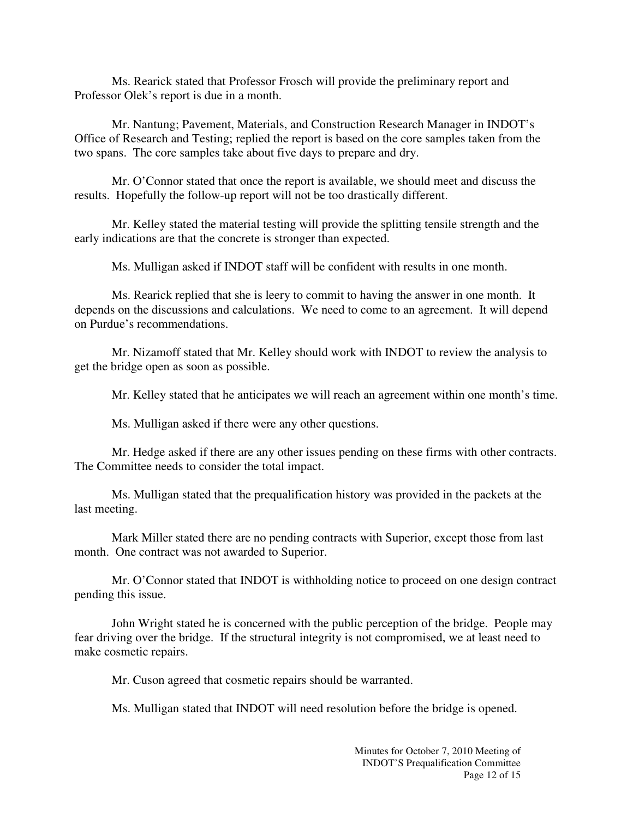Ms. Rearick stated that Professor Frosch will provide the preliminary report and Professor Olek's report is due in a month.

Mr. Nantung; Pavement, Materials, and Construction Research Manager in INDOT's Office of Research and Testing; replied the report is based on the core samples taken from the two spans. The core samples take about five days to prepare and dry.

Mr. O'Connor stated that once the report is available, we should meet and discuss the results. Hopefully the follow-up report will not be too drastically different.

Mr. Kelley stated the material testing will provide the splitting tensile strength and the early indications are that the concrete is stronger than expected.

Ms. Mulligan asked if INDOT staff will be confident with results in one month.

Ms. Rearick replied that she is leery to commit to having the answer in one month. It depends on the discussions and calculations. We need to come to an agreement. It will depend on Purdue's recommendations.

Mr. Nizamoff stated that Mr. Kelley should work with INDOT to review the analysis to get the bridge open as soon as possible.

Mr. Kelley stated that he anticipates we will reach an agreement within one month's time.

Ms. Mulligan asked if there were any other questions.

Mr. Hedge asked if there are any other issues pending on these firms with other contracts. The Committee needs to consider the total impact.

Ms. Mulligan stated that the prequalification history was provided in the packets at the last meeting.

Mark Miller stated there are no pending contracts with Superior, except those from last month. One contract was not awarded to Superior.

Mr. O'Connor stated that INDOT is withholding notice to proceed on one design contract pending this issue.

John Wright stated he is concerned with the public perception of the bridge. People may fear driving over the bridge. If the structural integrity is not compromised, we at least need to make cosmetic repairs.

Mr. Cuson agreed that cosmetic repairs should be warranted.

Ms. Mulligan stated that INDOT will need resolution before the bridge is opened.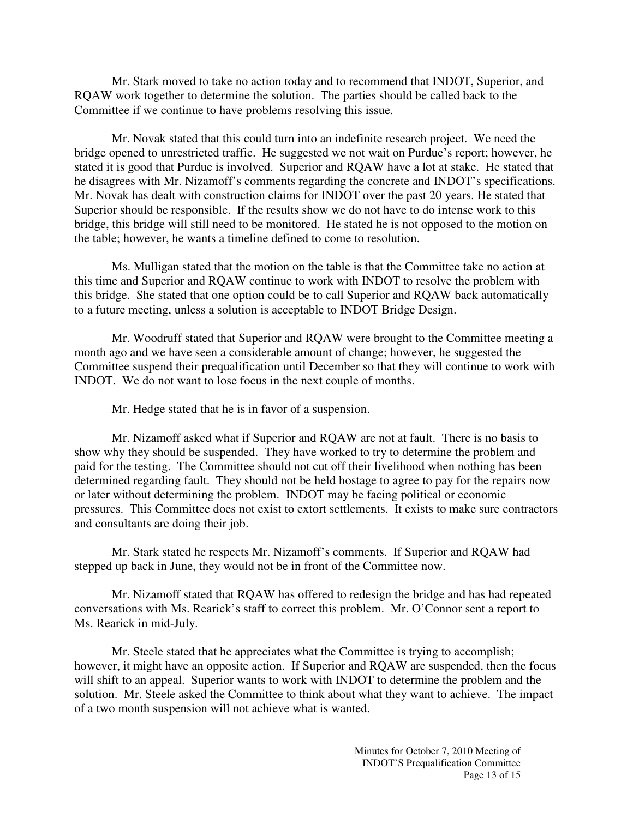Mr. Stark moved to take no action today and to recommend that INDOT, Superior, and RQAW work together to determine the solution. The parties should be called back to the Committee if we continue to have problems resolving this issue.

Mr. Novak stated that this could turn into an indefinite research project. We need the bridge opened to unrestricted traffic. He suggested we not wait on Purdue's report; however, he stated it is good that Purdue is involved. Superior and RQAW have a lot at stake. He stated that he disagrees with Mr. Nizamoff's comments regarding the concrete and INDOT's specifications. Mr. Novak has dealt with construction claims for INDOT over the past 20 years. He stated that Superior should be responsible. If the results show we do not have to do intense work to this bridge, this bridge will still need to be monitored. He stated he is not opposed to the motion on the table; however, he wants a timeline defined to come to resolution.

Ms. Mulligan stated that the motion on the table is that the Committee take no action at this time and Superior and RQAW continue to work with INDOT to resolve the problem with this bridge. She stated that one option could be to call Superior and RQAW back automatically to a future meeting, unless a solution is acceptable to INDOT Bridge Design.

Mr. Woodruff stated that Superior and RQAW were brought to the Committee meeting a month ago and we have seen a considerable amount of change; however, he suggested the Committee suspend their prequalification until December so that they will continue to work with INDOT. We do not want to lose focus in the next couple of months.

Mr. Hedge stated that he is in favor of a suspension.

Mr. Nizamoff asked what if Superior and RQAW are not at fault. There is no basis to show why they should be suspended. They have worked to try to determine the problem and paid for the testing. The Committee should not cut off their livelihood when nothing has been determined regarding fault. They should not be held hostage to agree to pay for the repairs now or later without determining the problem. INDOT may be facing political or economic pressures. This Committee does not exist to extort settlements. It exists to make sure contractors and consultants are doing their job.

Mr. Stark stated he respects Mr. Nizamoff's comments. If Superior and RQAW had stepped up back in June, they would not be in front of the Committee now.

Mr. Nizamoff stated that RQAW has offered to redesign the bridge and has had repeated conversations with Ms. Rearick's staff to correct this problem. Mr. O'Connor sent a report to Ms. Rearick in mid-July.

Mr. Steele stated that he appreciates what the Committee is trying to accomplish; however, it might have an opposite action. If Superior and RQAW are suspended, then the focus will shift to an appeal. Superior wants to work with INDOT to determine the problem and the solution. Mr. Steele asked the Committee to think about what they want to achieve. The impact of a two month suspension will not achieve what is wanted.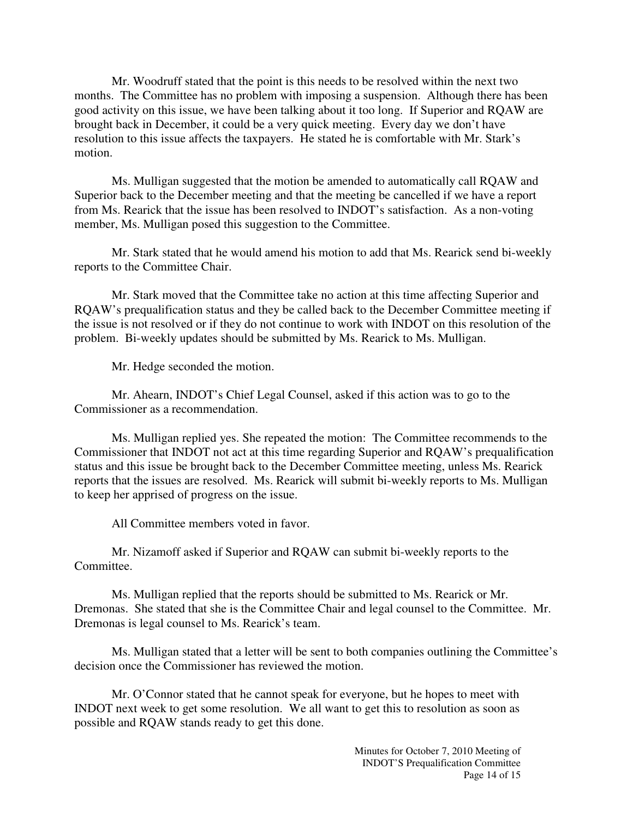Mr. Woodruff stated that the point is this needs to be resolved within the next two months. The Committee has no problem with imposing a suspension. Although there has been good activity on this issue, we have been talking about it too long. If Superior and RQAW are brought back in December, it could be a very quick meeting. Every day we don't have resolution to this issue affects the taxpayers. He stated he is comfortable with Mr. Stark's motion.

Ms. Mulligan suggested that the motion be amended to automatically call RQAW and Superior back to the December meeting and that the meeting be cancelled if we have a report from Ms. Rearick that the issue has been resolved to INDOT's satisfaction. As a non-voting member, Ms. Mulligan posed this suggestion to the Committee.

Mr. Stark stated that he would amend his motion to add that Ms. Rearick send bi-weekly reports to the Committee Chair.

Mr. Stark moved that the Committee take no action at this time affecting Superior and RQAW's prequalification status and they be called back to the December Committee meeting if the issue is not resolved or if they do not continue to work with INDOT on this resolution of the problem. Bi-weekly updates should be submitted by Ms. Rearick to Ms. Mulligan.

Mr. Hedge seconded the motion.

 Mr. Ahearn, INDOT's Chief Legal Counsel, asked if this action was to go to the Commissioner as a recommendation.

 Ms. Mulligan replied yes. She repeated the motion: The Committee recommends to the Commissioner that INDOT not act at this time regarding Superior and RQAW's prequalification status and this issue be brought back to the December Committee meeting, unless Ms. Rearick reports that the issues are resolved. Ms. Rearick will submit bi-weekly reports to Ms. Mulligan to keep her apprised of progress on the issue.

All Committee members voted in favor.

 Mr. Nizamoff asked if Superior and RQAW can submit bi-weekly reports to the Committee.

 Ms. Mulligan replied that the reports should be submitted to Ms. Rearick or Mr. Dremonas. She stated that she is the Committee Chair and legal counsel to the Committee. Mr. Dremonas is legal counsel to Ms. Rearick's team.

 Ms. Mulligan stated that a letter will be sent to both companies outlining the Committee's decision once the Commissioner has reviewed the motion.

 Mr. O'Connor stated that he cannot speak for everyone, but he hopes to meet with INDOT next week to get some resolution. We all want to get this to resolution as soon as possible and RQAW stands ready to get this done.